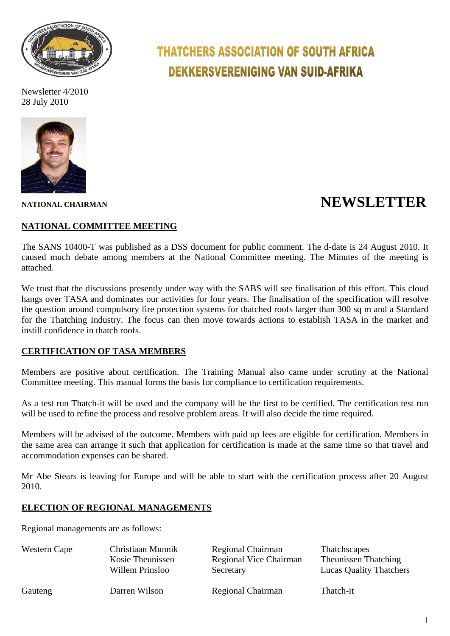

Newsletter 4/2010 28 July 2010



# **THATCHERS ASSOCIATION OF SOUTH AFRICA DEKKERSVERENIGING VAN SUID-AFRIKA**

## **NEWSLETTER**

### **NATIONAL COMMITTEE MEETING**

The SANS 10400-T was published as a DSS document for public comment. The d-date is 24 August 2010. It caused much debate among members at the National Committee meeting. The Minutes of the meeting is attached.

We trust that the discussions presently under way with the SABS will see finalisation of this effort. This cloud hangs over TASA and dominates our activities for four years. The finalisation of the specification will resolve the question around compulsory fire protection systems for thatched roofs larger than 300 sq m and a Standard for the Thatching Industry. The focus can then move towards actions to establish TASA in the market and instill confidence in thatch roofs.

### **CERTIFICATION OF TASA MEMBERS**

Members are positive about certification. The Training Manual also came under scrutiny at the National Committee meeting. This manual forms the basis for compliance to certification requirements.

As a test run Thatch-it will be used and the company will be the first to be certified. The certification test run will be used to refine the process and resolve problem areas. It will also decide the time required.

Members will be advised of the outcome. Members with paid up fees are eligible for certification. Members in the same area can arrange it such that application for certification is made at the same time so that travel and accommodation expenses can be shared.

Mr Abe Stears is leaving for Europe and will be able to start with the certification process after 20 August 2010.

#### **ELECTION OF REGIONAL MANAGEMENTS**

Regional managements are as follows:

| Western Cape | Christiaan Munnik | Regional Chairman      | <b>Thatchscapes</b>            |
|--------------|-------------------|------------------------|--------------------------------|
|              | Kosie Theunissen  | Regional Vice Chairman | <b>Theunissen Thatching</b>    |
|              | Willem Prinsloo   | Secretary              | <b>Lucas Quality Thatchers</b> |
| Gauteng      | Darren Wilson     | Regional Chairman      | Thatch-it                      |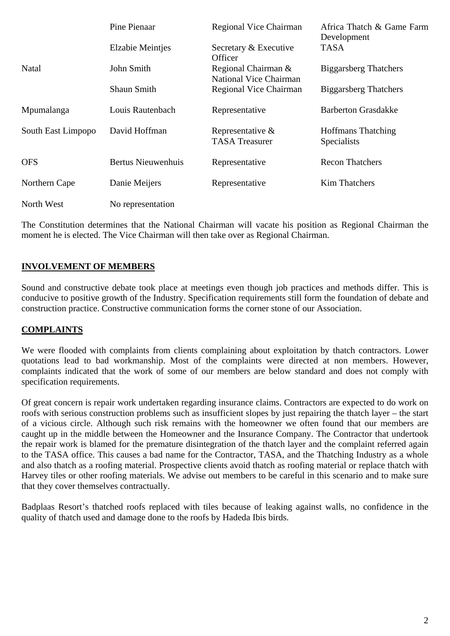|                    | Pine Pienaar              | Regional Vice Chairman                               | Africa Thatch & Game Farm<br>Development        |
|--------------------|---------------------------|------------------------------------------------------|-------------------------------------------------|
|                    | <b>Elzabie Meintjes</b>   | Secretary & Executive<br>Officer                     | <b>TASA</b>                                     |
| Natal              | John Smith                | Regional Chairman &<br><b>National Vice Chairman</b> | <b>Biggarsberg Thatchers</b>                    |
|                    | <b>Shaun Smith</b>        | Regional Vice Chairman                               | <b>Biggarsberg Thatchers</b>                    |
| Mpumalanga         | Louis Rautenbach          | Representative                                       | <b>Barberton Grasdakke</b>                      |
| South East Limpopo | David Hoffman             | Representative $\&$<br><b>TASA Treasurer</b>         | <b>Hoffmans Thatching</b><br><b>Specialists</b> |
| <b>OFS</b>         | <b>Bertus Nieuwenhuis</b> | Representative                                       | <b>Recon Thatchers</b>                          |
| Northern Cape      | Danie Meijers             | Representative                                       | <b>Kim Thatchers</b>                            |
| North West         | No representation         |                                                      |                                                 |

The Constitution determines that the National Chairman will vacate his position as Regional Chairman the moment he is elected. The Vice Chairman will then take over as Regional Chairman.

### **INVOLVEMENT OF MEMBERS**

Sound and constructive debate took place at meetings even though job practices and methods differ. This is conducive to positive growth of the Industry. Specification requirements still form the foundation of debate and construction practice. Constructive communication forms the corner stone of our Association.

### **COMPLAINTS**

We were flooded with complaints from clients complaining about exploitation by thatch contractors. Lower quotations lead to bad workmanship. Most of the complaints were directed at non members. However, complaints indicated that the work of some of our members are below standard and does not comply with specification requirements.

Of great concern is repair work undertaken regarding insurance claims. Contractors are expected to do work on roofs with serious construction problems such as insufficient slopes by just repairing the thatch layer – the start of a vicious circle. Although such risk remains with the homeowner we often found that our members are caught up in the middle between the Homeowner and the Insurance Company. The Contractor that undertook the repair work is blamed for the premature disintegration of the thatch layer and the complaint referred again to the TASA office. This causes a bad name for the Contractor, TASA, and the Thatching Industry as a whole and also thatch as a roofing material. Prospective clients avoid thatch as roofing material or replace thatch with Harvey tiles or other roofing materials. We advise out members to be careful in this scenario and to make sure that they cover themselves contractually.

Badplaas Resort's thatched roofs replaced with tiles because of leaking against walls, no confidence in the quality of thatch used and damage done to the roofs by Hadeda Ibis birds.